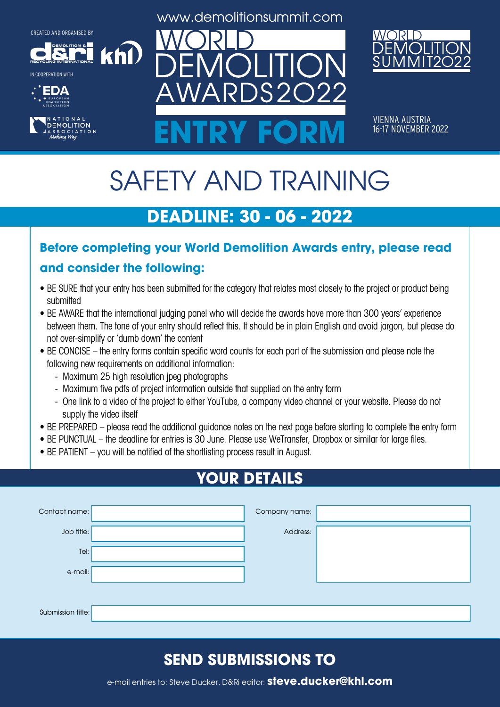**DEMOLITION &**













VIENNA AUSTRIA<br>16-17 NOVEMBER 2022 ENTRY FORM **16-17 NOVEMBER 2022** 

# SAFETY AND TRAINING

# **DEADLINE: 30 - 06 - 2022**

#### **Before completing your World Demolition Awards entry, please read**

#### **and consider the following:**

khl

- BE SURE that your entry has been submitted for the category that relates most closely to the project or product being submitted
- BE AWARE that the international judging panel who will decide the awards have more than 300 years' experience between them. The tone of your entry should reflect this. It should be in plain English and avoid jargon, but please do not over-simplify or 'dumb down' the content
- BE CONCISE the entry forms contain specific word counts for each part of the submission and please note the following new requirements on additional information:
	- Maximum 25 high resolution jpeg photographs
	- Maximum five pdfs of project information outside that supplied on the entry form
	- One link to a video of the project to either YouTube, a company video channel or your website. Please do not supply the video itself
- BE PREPARED please read the additional guidance notes on the next page before starting to complete the entry form
- BE PUNCTUAL the deadline for entries is 30 June. Please use WeTransfer, Dropbox or similar for large files.
- BE PATIENT you will be notified of the shortlisting process result in August.

# **YOUR DETAILS**

| Contact name:     | Company name: |  |
|-------------------|---------------|--|
| Job title:        | Address:      |  |
| Tel:              |               |  |
| e-mail:           |               |  |
|                   |               |  |
| Submission title: |               |  |

# **SEND SUBMISSIONS TO**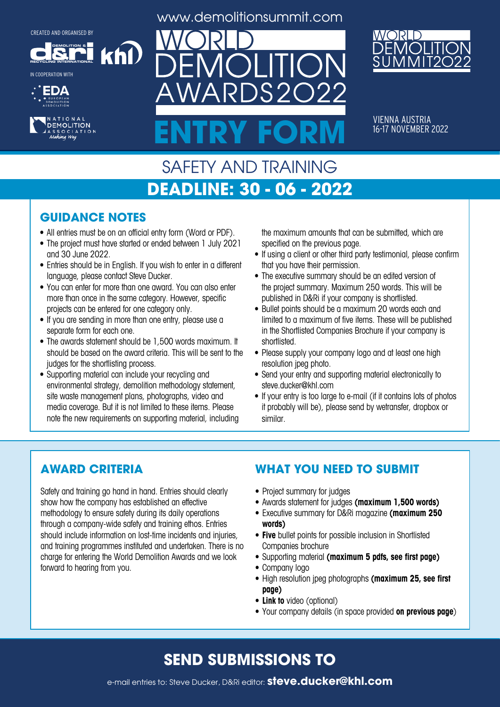**DEMOLITION &**

khl

**RECYCLING INTERNATIONAL** IN COOPERATION WITH





www.demolitionsummit.com



VIENNA AUSTRIA<br>16-17 NO<u>VEMBER 2022</u> ENTRY FORM **16-17 NOVEMBER 2022** 

### SAFETY AND TRAINING **DEADLINE: 30 - 06 - 2022**

#### **GUIDANCE NOTES**

- All entries must be on an official entry form (Word or PDF).
- The project must have started or ended between 1 July 2021 and 30 June 2022.
- Entries should be in English. If you wish to enter in a different language, please contact Steve Ducker.
- You can enter for more than one award. You can also enter more than once in the same category. However, specific projects can be entered for one category only.
- If you are sending in more than one entry, please use a separate form for each one.
- The awards statement should be 1,500 words maximum. It should be based on the award criteria. This will be sent to the judges for the shortlisting process.
- Supporting material can include your recycling and environmental strategy, demolition methodology statement, site waste management plans, photographs, video and media coverage. But it is not limited to these items. Please note the new requirements on supporting material, including

the maximum amounts that can be submitted, which are specified on the previous page.

- If using a client or other third party testimonial, please confirm that you have their permission.
- The executive summary should be an edited version of the project summary. Maximum 250 words. This will be published in D&Ri if your company is shortlisted.
- Bullet points should be a maximum 20 words each and limited to a maximum of five items. These will be published in the Shortlisted Companies Brochure if your company is shortlisted.
- Please supply your company logo and at least one high resolution jpeg photo.
- Send your entry and supporting material electronically to steve.ducker@khl.com
- If your entry is too large to e-mail (if it contains lots of photos it probably will be), please send by wetransfer, dropbox or similar.

#### **AWARD CRITERIA**

Safety and training go hand in hand. Entries should clearly show how the company has established an effective methodology to ensure safety during its daily operations through a company-wide safety and training ethos. Entries should include information on lost-time incidents and injuries, and training programmes instituted and undertaken. There is no charge for entering the World Demolition Awards and we look forward to hearing from you.

#### **WHAT YOU NEED TO SUBMIT**

- Project summary for judges
- • Awards statement for judges **(maximum 1,500 words)**
- • Executive summary for D&Ri magazine **(maximum 250 words)**
- **• Five** bullet points for possible inclusion in Shortlisted Companies brochure
- • Supporting material **(maximum 5 pdfs, see first page)**
- Company logo
- • High resolution jpeg photographs **(maximum 25, see first page)**
- **• Link to** video (optional)
- • Your company details (in space provided **on previous page**)

# **SEND SUBMISSIONS TO**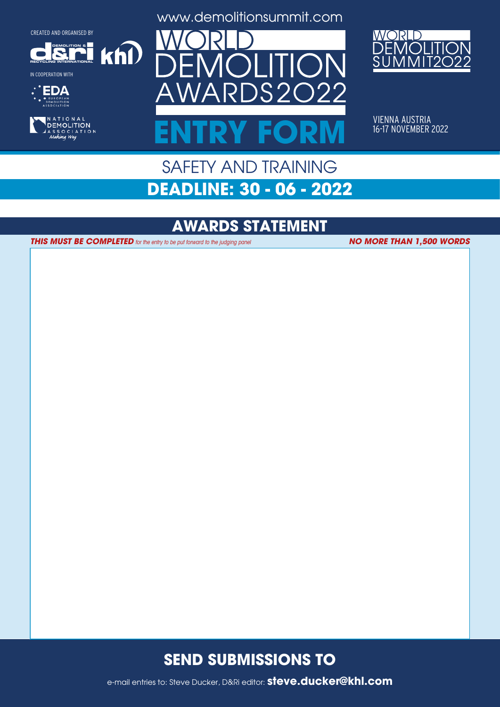**DEMOLITION &**

 $k$ h $\Omega$ 

**RECYCLING INTERNATIONAL**

IN COOPERATION WITH





www.demolitionsummit.com



VIENNA AUSTRIA<br>16-17 NOVEMBER 2022 ENTRY FORM **16-17 NOVEMBER 2022** 

## SAFETY AND TRAINING **DEADLINE: 30 - 06 - 2022**

## **AWARDS STATEMENT**

**THIS MUST BE COMPLETED** for the entry to be put forward to the judging panel

**NO MORE THAN 1,500 WORDS**

#### **SEND SUBMISSIONS TO**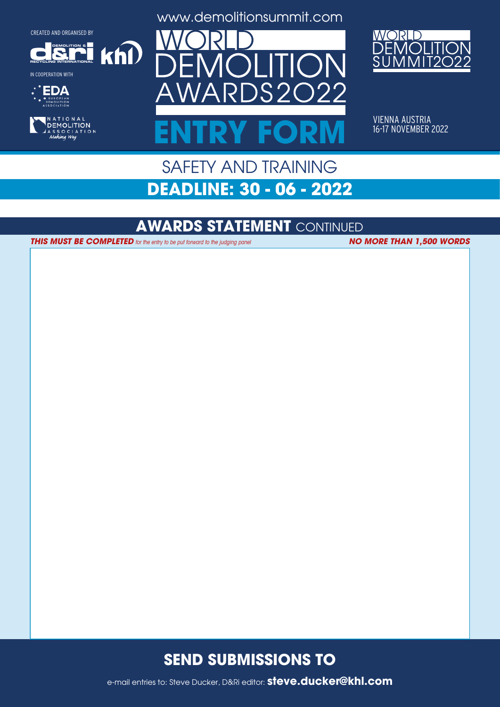**DEMOLITION &**

 $k$ n $\Omega$ 

**RECYCLING INTERNATIONAL**

IN COOPERATION WITH





www.demolitionsummit.com



VIENNA AUSTRIA<br>16-17 NOVEMBER 2022 ENTRY FORM **16-17 NOVEMBER 2022** 

# SAFETY AND TRAINING **DEADLINE: 30 - 06 - 2022**

#### **AWARDS STATEMENT** CONTINUED

**THIS MUST BE COMPLETED** for the entry to be put forward to the judging panel **NO MORE THAN 1,500 WORDS** 

#### **SEND SUBMISSIONS TO**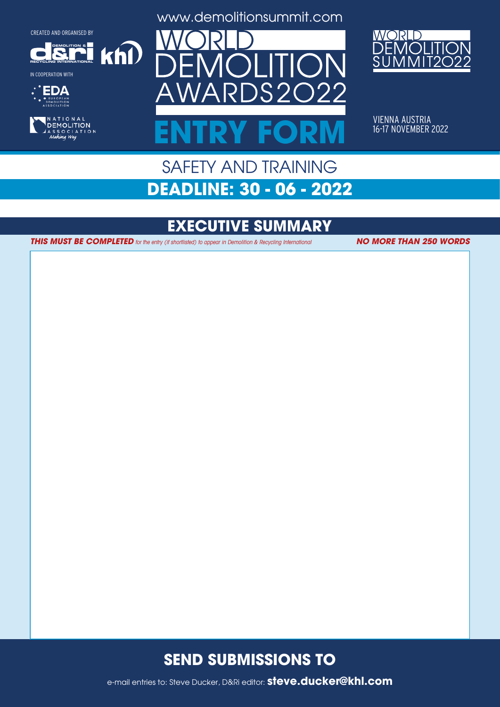**DEMOLITION &**

 $k$ h $\Omega$ 

**RECYCLING INTERNATIONAL**







www.demolitionsummit.com



VIENNA AUSTRIA<br>16-17 NOVEMBER 2022 ENTRY FORM **16-17 NOVEMBER 2022** 

# SAFETY AND TRAINING **DEADLINE: 30 - 06 - 2022**

# **EXECUTIVE SUMMARY**

**THIS MUST BE COMPLETED** for the entry (if shortlisted) to appear in Demolition & Recycling International **NO MORE THAN 250 WORDS** 

#### **SEND SUBMISSIONS TO**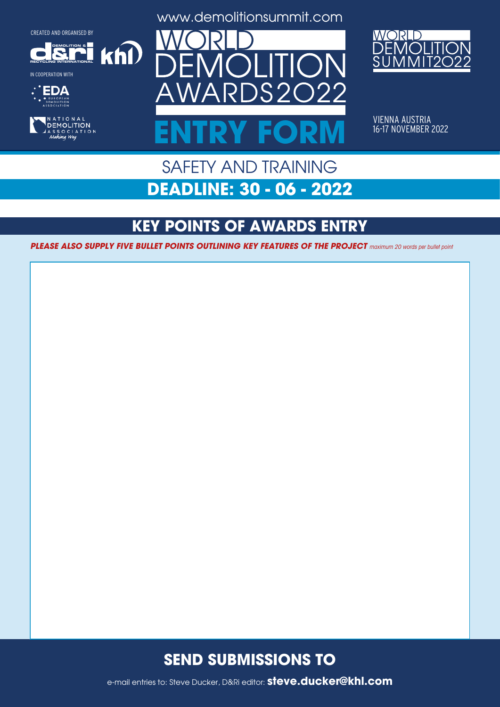**DEMOLITION &**

 $k$ n $\Omega$ 













VIENNA AUSTRIA<br>16-17 NOVEMBER 2022 ENTRY FORM **16-17 NOVEMBER 2022** 

# SAFETY AND TRAINING **DEADLINE: 30 - 06 - 2022**

# **KEY POINTS OF AWARDS ENTRY**

**PLEASE ALSO SUPPLY FIVE BULLET POINTS OUTLINING KEY FEATURES OF THE PROJECT** maximum 20 words per bullet point

#### **SEND SUBMISSIONS TO**